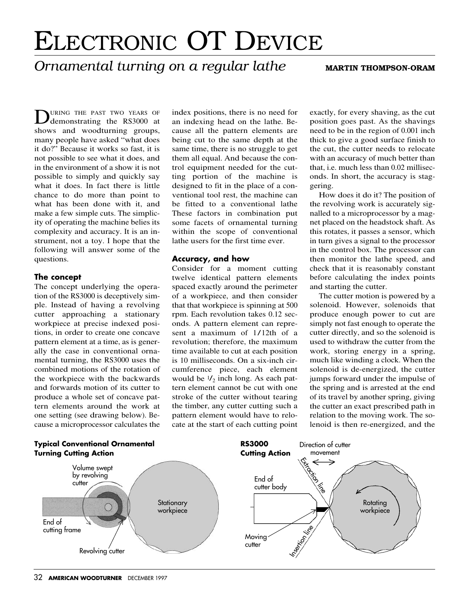# ELECTRONIC OT DEVICE

## *Ornamental turning on a regular lathe* MARTIN THOMPSON-ORAM

DURING THE PAST TWO YEARS OF demonstrating the RS3000 at shows and woodturning groups, many people have asked "what does <sup>i</sup>t do?" Because <sup>i</sup>t works so fast, <sup>i</sup>t is not possible to see what <sup>i</sup>t does, and in the environment of a show <sup>i</sup>t is not possible to simply and quickly say what <sup>i</sup>t does. In fact there is little chance to do more than point to what has been done with <sup>i</sup>t, and make a few simple cuts. The simplic<sup>i</sup>ty of operating the machine belies <sup>i</sup>ts complexity and accuracy. It is an instrument, not a toy. I hope that the following will answer some of the questions.

#### **The concept**

The concept underlying the operation of the RS3000 is deceptively simple. Instead of having a revolving cutter approaching a stationary workpiece at precise indexed positions, in order to create one concave pattern element at a time, as is generally the case in conventional ornamental turning, the RS3000 uses the combined motions of the rotation of the workpiece with the backwards and forwards motion of <sup>i</sup>ts cutter to produce a whole set of concave pattern elements around the work at one setting (see drawing below). Because a microprocessor calculates the index positions, there is no need for an indexing head on the lathe. Because all the pattern elements are being cut to the same depth at the same time, there is no struggle to get them all equal. And because the control equipment needed for the cutting portion of the machine is designed to fit in the place of a conventional tool rest, the machine can be fitted to a conventional lathe These factors in combination put some facets of ornamental turning within the scope of conventional lathe users for the first time ever.

### **Accuracy, and how**

Consider for a moment cutting twelve identical pattern elements spaced exactly around the perimeter of a workpiece, and then consider that that workpiece is spinning at 500 rpm. Each revolution takes 0.12 seconds. A pattern element can represent a maximum of 1/12th of a revolution; therefore, the maximum time available to cut at each position is 10 milliseconds. On a six-inch circumference piece, each element would be  $\frac{1}{2}$  inch long. As each pattern element cannot be cut with one stroke of the cutter without tearing the timber, any cutter cutting such a pattern element would have to relocate at the start of each cutting point

exactly, for every shaving, as the cut position goes past. As the shavings need to be in the region of 0.001 inch thick to give a good surface finish to the cut, the cutter needs to relocate with an accuracy of much better than that, <sup>i</sup>.e. much less than 0.02 milliseconds. In short, the accuracy is staggering.

How does <sup>i</sup>t do <sup>i</sup>t? The position of the revolving work is accurately signalled to a microprocessor by a magnet placed on the headstock shaft. As this rotates, <sup>i</sup>t passes a sensor, which in turn gives a signal to the processor in the control box. The processor can then monitor the lathe speed, and check that <sup>i</sup>t is reasonably constant before calculating the index points and starting the cutter.

The cutter motion is powered by a solenoid. However, solenoids that produce enough power to cut are simply not fast enough to operate the cutter directly, and so the solenoid is used to withdraw the cutter from the work, storing energy in a spring, much like winding a clock. When the solenoid is de-energized, the cutter jumps forward under the impulse of the spring and is arrested at the end of <sup>i</sup>ts travel by another spring, giving the cutter an exact prescribed path in relation to the moving work. The solenoid is then re-energized, and the